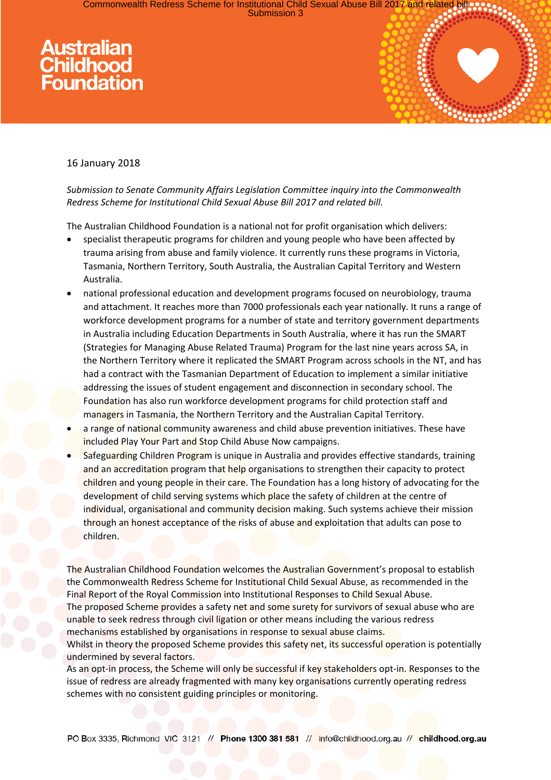Commonwealth Redress Scheme for Institutional Child Sexual Abuse Bill 2017 and relate<br>Commonwealth Redress Scheme for Institutional Child Sexual Abuse Bill 2017 and relate

# Australian<br>Childhood<br>Foundation



## 16 January 2018

## *Submission to Senate Community Affairs Legislation Committee inquiry into the Commonwealth Redress Scheme for Institutional Child Sexual Abuse Bill 2017 and related bill.*

The Australian Childhood Foundation is a national not for profit organisation which delivers:

- specialist therapeutic programs for children and young people who have been affected by trauma arising from abuse and family violence. It currently runs these programs in Victoria, Tasmania, Northern Territory, South Australia, the Australian Capital Territory and Western Australia.
- national professional education and development programs focused on neurobiology, trauma and attachment. It reaches more than 7000 professionals each year nationally. It runs a range of workforce development programs for a number of state and territory government departments in Australia including Education Departments in South Australia, where it has run the SMART (Strategies for Managing Abuse Related Trauma) Program for the last nine years across SA, in the Northern Territory where it replicated the SMART Program across schools in the NT, and has had a contract with the Tasmanian Department of Education to implement a similar initiative addressing the issues of student engagement and disconnection in secondary school. The Foundation has also run workforce development programs for child protection staff and managers in Tasmania, the Northern Territory and the Australian Capital Territory.
- a range of national community awareness and child abuse prevention initiatives. These have included Play Your Part and Stop Child Abuse Now campaigns.
- Safeguarding Children Program is unique in Australia and provides effective standards, training and an accreditation program that help organisations to strengthen their capacity to protect children and young people in their care. The Foundation has a long history of advocating for the development of child serving systems which place the safety of children at the centre of individual, organisational and community decision making. Such systems achieve their mission through an honest acceptance of the risks of abuse and exploitation that adults can pose to children.

The Australian Childhood Foundation welcomes the Australian Government's proposal to establish the Commonwealth Redress Scheme for Institutional Child Sexual Abuse, as recommended in the Final Report of the Royal Commission into Institutional Responses to Child Sexual Abuse. The proposed Scheme provides a safety net and some surety for survivors of sexual abuse who are unable to seek redress through civil ligation or other means including the various redress mechanisms established by organisations in response to sexual abuse claims. Whilst in theory the proposed Scheme provides this safety net, its successful operation is potentially undermined by several factors.

As an opt-in process, the Scheme will only be successful if key stakeholders opt-in. Responses to the issue of redress are already fragmented with many key organisations currently operating redress schemes with no consistent guiding principles or monitoring.